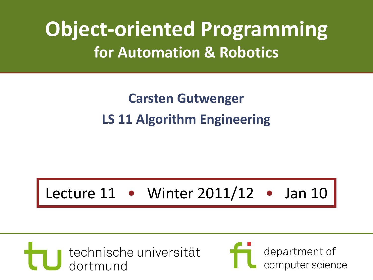## **Object-oriented Programming for Automation & Robotics**

#### **Carsten Gutwenger LS 11 Algorithm Engineering**

#### Lecture 11 • Winter 2011/12 • Jan 10



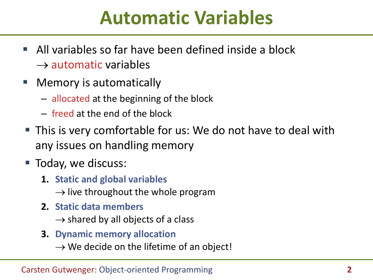#### **Automatic Variables**

- All variables so far have been defined inside a block  $\rightarrow$  automatic variables
- **Nemory is automatically** 
	- allocated at the beginning of the block
	- freed at the end of the block
- This is very comfortable for us: We do not have to deal with any issues on handling memory
- Today, we discuss:
	- **1. Static and global variables**
		- $\rightarrow$  live throughout the whole program
	- **2. Static data members**
		- $\rightarrow$  shared by all objects of a class
	- **3. Dynamic memory allocation**
		- $\rightarrow$  We decide on the lifetime of an object!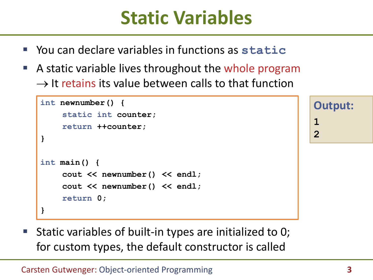### **Static Variables**

- You can declare variables in functions as **static**
- A static variable lives throughout the whole program  $\rightarrow$  It retains its value between calls to that function

```
int newnumber() {
    static int counter;
    return ++counter;
}
int main() {
    cout << newnumber() << endl;
    cout << newnumber() << endl;
    return 0;
}
```
**Output: 1 2**

 Static variables of built-in types are initialized to 0; for custom types, the default constructor is called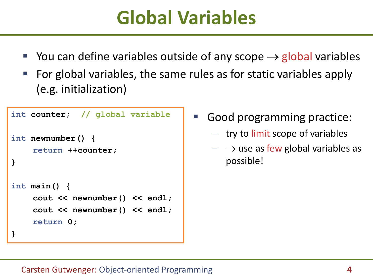## **Global Variables**

- You can define variables outside of any scope  $\rightarrow$  global variables
- For global variables, the same rules as for static variables apply (e.g. initialization)

```
int counter; // global variable
int newnumber() {
    return ++counter;
}
int main() {
    cout << newnumber() << endl;
    cout << newnumber() << endl;
    return 0;
}
```
Good programming practice:

- $-$  try to limit scope of variables
- $\rightarrow$  use as few global variables as possible!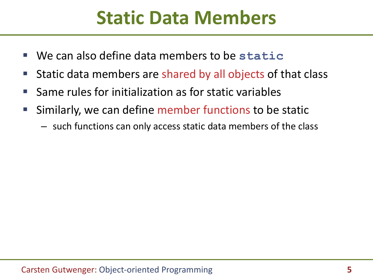### **Static Data Members**

- We can also define data members to be **static**
- **Static data members are shared by all objects of that class**
- Same rules for initialization as for static variables
- Similarly, we can define member functions to be static
	- such functions can only access static data members of the class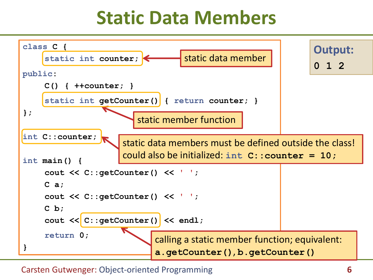### **Static Data Members**



Carsten Gutwenger: Object-oriented Programming **6**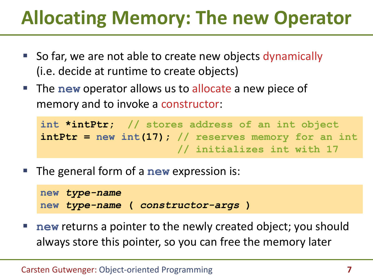# **Allocating Memory: The new Operator**

- So far, we are not able to create new objects dynamically (i.e. decide at runtime to create objects)
- **The new** operator allows us to allocate a new piece of memory and to invoke a constructor:

```
int *intPtr; // stores address of an int object
intPtr = new int(17); // reserves memory for an int
                       // initializes int with 17
```
The general form of a **new** expression is:

```
new type-name
new type-name ( constructor-args )
```
 **new** returns a pointer to the newly created object; you should always store this pointer, so you can free the memory later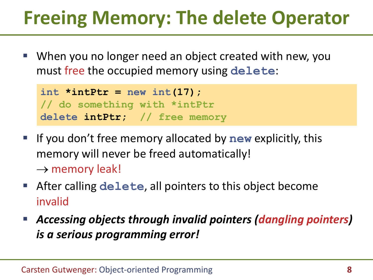# **Freeing Memory: The delete Operator**

 When you no longer need an object created with new, you must free the occupied memory using **delete**:

```
int *intPtr = new int(17);
// do something with *intPtr
delete intPtr; // free memory
```
- **If you don't free memory allocated by new explicitly, this** memory will never be freed automatically!  $\rightarrow$  memory leak!
- After calling **delete**, all pointers to this object become invalid
- *Accessing objects through invalid pointers (dangling pointers) is a serious programming error!*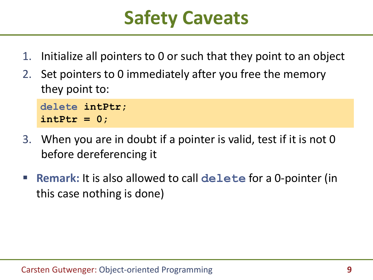## **Safety Caveats**

- 1. Initialize all pointers to 0 or such that they point to an object
- 2. Set pointers to 0 immediately after you free the memory they point to:

```
delete intPtr;
intPtr = 0;
```
- 3. When you are in doubt if a pointer is valid, test if it is not 0 before dereferencing it
- **Remark:** It is also allowed to call **delete** for a 0-pointer (in this case nothing is done)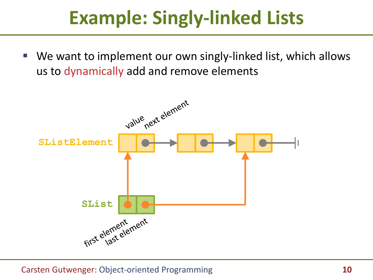## **Example: Singly-linked Lists**

 We want to implement our own singly-linked list, which allows us to dynamically add and remove elements

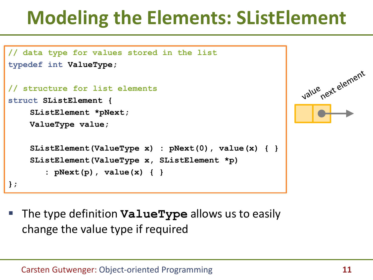## **Modeling the Elements: SListElement**

```
// data type for values stored in the list
typedef int ValueType;
                                                            value next element
// structure for list elements
struct SListElement {
    SListElement *pNext;
    ValueType value;
    SListElement(ValueType x) : pNext(0), value(x) { }
    SListElement(ValueType x, SListElement *p)
       : pNext(p), value(x) { }
};
```
 The type definition **ValueType** allows us to easily change the value type if required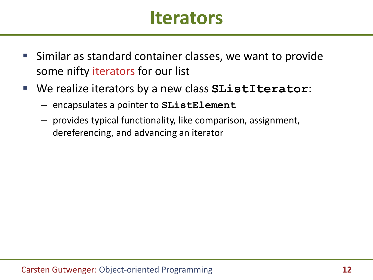#### **Iterators**

- **Similar as standard container classes, we want to provide** some nifty iterators for our list
- We realize iterators by a new class **SListIterator**:
	- encapsulates a pointer to **SListElement**
	- provides typical functionality, like comparison, assignment, dereferencing, and advancing an iterator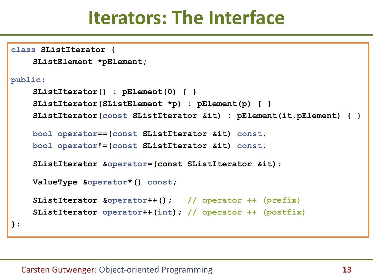#### **Iterators: The Interface**

```
class SListIterator {
    SListElement *pElement;
public:
    SListIterator() : pElement(0) { }
    SListIterator(SListElement *p) : pElement(p) { }
    SListIterator(const SListIterator &it) : pElement(it.pElement) { }
    bool operator==(const SListIterator &it) const;
    bool operator!=(const SListIterator &it) const;
    SListIterator &operator=(const SListIterator &it);
    ValueType &operator*() const;
    SListIterator &operator++(); // operator ++ (prefix)
    SListIterator operator++(int); // operator ++ (postfix)
};
```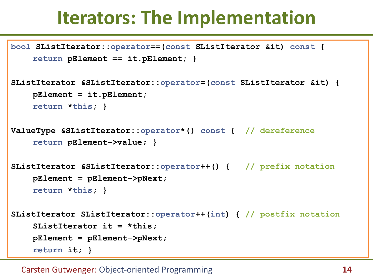### **Iterators: The Implementation**

```
bool SListIterator::operator==(const SListIterator &it) const {
    return pElement == it.pElement; }
```

```
SListIterator &SListIterator::operator=(const SListIterator &it) {
    pElement = it.pElement;
    return *this; }
```

```
ValueType &SListIterator::operator*() const { // dereference
    return pElement->value; }
```

```
SListIterator &SListIterator::operator++() { // prefix notation
    pElement = pElement->pNext;
    return *this; }
```

```
SListIterator SListIterator::operator++(int) { // postfix notation
    SListIterator it = *this;
    pElement = pElement->pNext;
    return it; }
```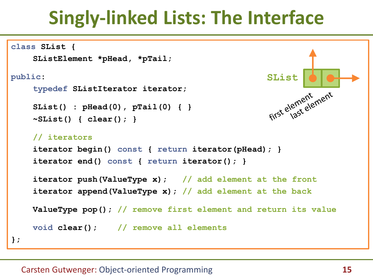## **Singly-linked Lists: The Interface**

```
class SList {
    SListElement *pHead, *pTail;
public:
    typedef SListIterator iterator;
    SList() : pHead(0), pTail(0) { }
    ~SList() { clear(); }
    // iterators
    iterator begin() const { return iterator(pHead); }
    iterator end() const { return iterator(); }
    iterator push(ValueType x); // add element at the front
    iterator append(ValueType x); // add element at the back
    ValueType pop(); // remove first element and return its value
    void clear(); // remove all elements
};
                                                      SList<br>first element<br>first element
```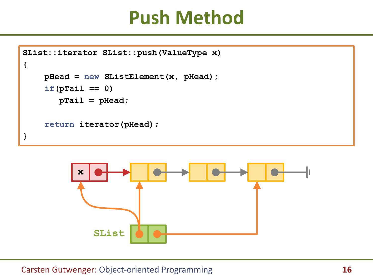#### **Push Method**

```
SList::iterator SList::push(ValueType x)
{
    pHead = new SListElement(x, pHead);
    if(pTail == 0)
       pTail = pHead;
    return iterator(pHead);
}
```
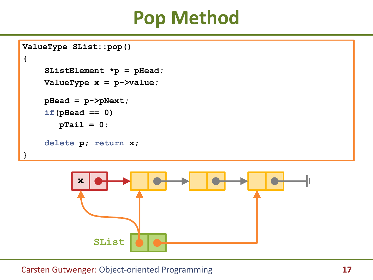### **Pop Method**

```
ValueType SList::pop()
{
    SListElement *p = pHead;
    ValueType x = p->value;
    pHead = p->pNext;
    if(pHead == 0)
       pTail = 0;
    delete p; return x;
}
```